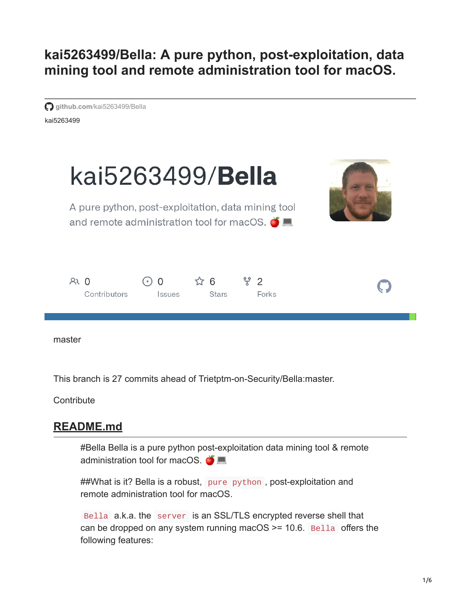**kai5263499/Bella: A pure python, post-exploitation, data mining tool and remote administration tool for macOS.**  $\bullet$   $\blacksquare$ 

kai5263499 **github.com[/kai5263499/Bella](https://github.com/kai5263499/Bella)** 



master

This branch is 27 commits ahead of Trietptm-on-Security/Bella:master.

**Contribute** 

# **README.md**

#Bella Bella is a pure python post-exploitation data mining tool & remote administration tool for macOS.

##What is it? Bella is a robust, pure python, post-exploitation and remote administration tool for macOS.

Bella a.k.a. the server is an SSL/TLS encrypted reverse shell that can be dropped on any system running macOS  $\ge$  = 10.6. Bella offers the following features: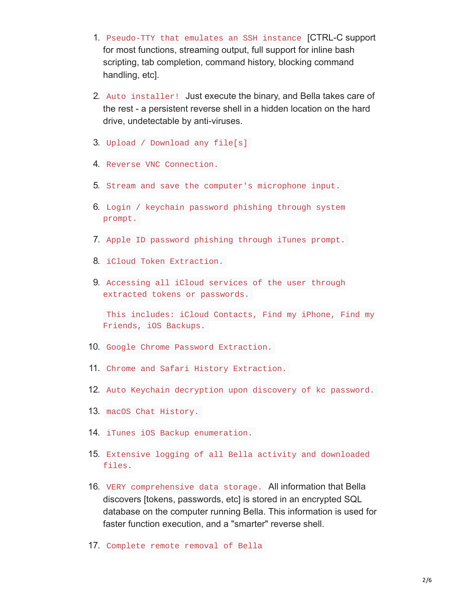- 1. Pseudo-TTY that emulates an SSH instance [CTRL-C support for most functions, streaming output, full support for inline bash scripting, tab completion, command history, blocking command handling, etc].
- 2. Auto installer! Just execute the binary, and Bella takes care of the rest - a persistent reverse shell in a hidden location on the hard drive, undetectable by anti-viruses.
- 3. Upload / Download any file[s]
- 4. Reverse VNC Connection.
- 5. Stream and save the computer's microphone input.
- 6. Login / keychain password phishing through system prompt.
- 7. Apple ID password phishing through iTunes prompt.
- 8. iCloud Token Extraction.
- 9. Accessing all iCloud services of the user through extracted tokens or passwords.

This includes: iCloud Contacts, Find my iPhone, Find my Friends, iOS Backups.

- 10. Google Chrome Password Extraction.
- 11. Chrome and Safari History Extraction.
- 12. Auto Keychain decryption upon discovery of kc password.
- 13. macOS Chat History.
- 14. iTunes iOS Backup enumeration.
- 15. Extensive logging of all Bella activity and downloaded files.
- 16. VERY comprehensive data storage. All information that Bella discovers [tokens, passwords, etc] is stored in an encrypted SQL database on the computer running Bella. This information is used for faster function execution, and a "smarter" reverse shell.
- 17. Complete remote removal of Bella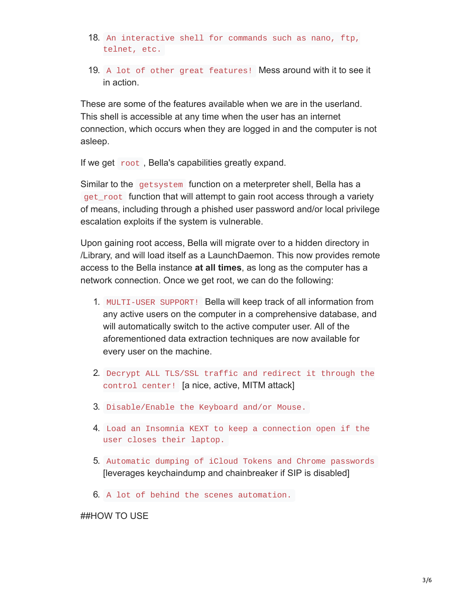- 18. An interactive shell for commands such as nano, ftp, telnet, etc.
- 19. A lot of other great features! Mess around with it to see it in action.

These are some of the features available when we are in the userland. This shell is accessible at any time when the user has an internet connection, which occurs when they are logged in and the computer is not asleep.

If we get root , Bella's capabilities greatly expand.

Similar to the getsystem function on a meterpreter shell, Bella has a get\_root function that will attempt to gain root access through a variety of means, including through a phished user password and/or local privilege escalation exploits if the system is vulnerable.

Upon gaining root access, Bella will migrate over to a hidden directory in /Library, and will load itself as a LaunchDaemon. This now provides remote access to the Bella instance **at all times**, as long as the computer has a network connection. Once we get root, we can do the following:

- 1. MULTI-USER SUPPORT! Bella will keep track of all information from any active users on the computer in a comprehensive database, and will automatically switch to the active computer user. All of the aforementioned data extraction techniques are now available for every user on the machine.
- 2. Decrypt ALL TLS/SSL traffic and redirect it through the control center! [a nice, active, MITM attack]
- 3. Disable/Enable the Keyboard and/or Mouse.
- 4. Load an Insomnia KEXT to keep a connection open if the user closes their laptop.
- 5. Automatic dumping of iCloud Tokens and Chrome passwords [leverages keychaindump and chainbreaker if SIP is disabled]
- 6. A lot of behind the scenes automation.

#### ##HOW TO USE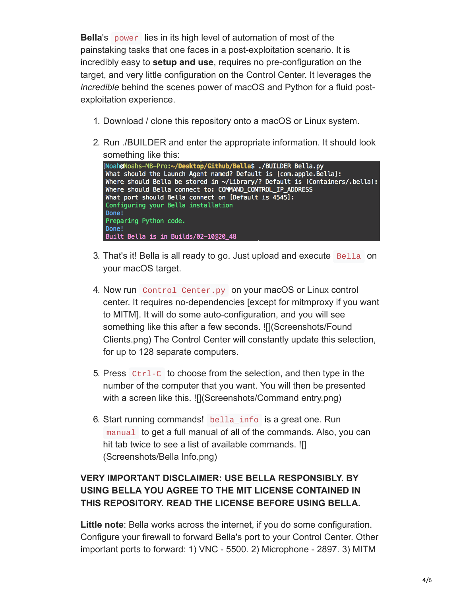**Bella**'s power lies in its high level of automation of most of the painstaking tasks that one faces in a post-exploitation scenario. It is incredibly easy to **setup and use**, requires no pre-configuration on the target, and very little configuration on the Control Center. It leverages the *incredible* behind the scenes power of macOS and Python for a fluid postexploitation experience.

- 1. Download / clone this repository onto a macOS or Linux system.
- 2. Run ./BUILDER and enter the appropriate information. It should look something like this:

```
[Noah@Noahs-MB-Pro:~/Desktop/Github/Bella$ ./BUILDER Bella.py
What should the Launch Agent named? Default is [com.apple.Bella]:
Where should Bella be stored in ~/Library/? Default is [Containers/.bella]:
Where should Bella connect to: COMMAND_CONTROL_IP_ADDRESS
What port should Bella connect on [Default is 4545]:
Configuring your Bella installation
Done!
Preparing Python code.
Done!
Built Bella is in Builds/02-10@20_48
```
- 3. That's it! Bella is all ready to go. Just upload and execute Bella on your macOS target.
- 4. Now run Control Center.py on your macOS or Linux control center. It requires no-dependencies [except for mitmproxy if you want to MITM]. It will do some auto-configuration, and you will see something like this after a few seconds. ![I(Screenshots/Found Clients.png) The Control Center will constantly update this selection, for up to 128 separate computers.
- 5. Press Ctrl-C to choose from the selection, and then type in the number of the computer that you want. You will then be presented with a screen like this. ![I(Screenshots/Command entry.png)
- 6. Start running commands! bella\_info is a great one. Run manual to get a full manual of all of the commands. Also, you can hit tab twice to see a list of available commands. ![] (Screenshots/Bella Info.png)

## **VERY IMPORTANT DISCLAIMER: USE BELLA RESPONSIBLY. BY USING BELLA YOU AGREE TO THE MIT LICENSE CONTAINED IN THIS REPOSITORY. READ THE LICENSE BEFORE USING BELLA.**

**Little note**: Bella works across the internet, if you do some configuration. Configure your firewall to forward Bella's port to your Control Center. Other important ports to forward: 1) VNC - 5500. 2) Microphone - 2897. 3) MITM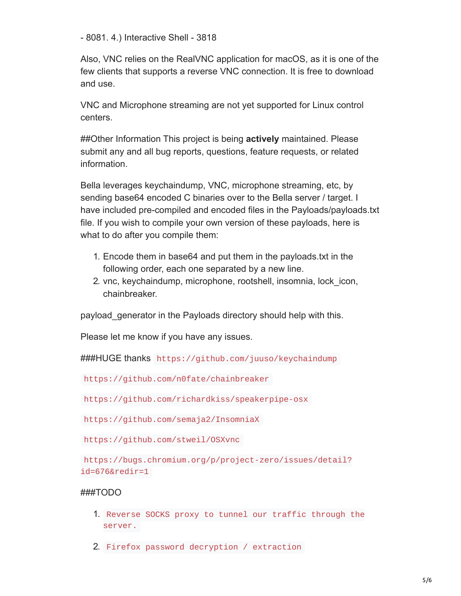- 8081. 4.) Interactive Shell - 3818

Also, VNC relies on the RealVNC application for macOS, as it is one of the few clients that supports a reverse VNC connection. It is free to download and use.

VNC and Microphone streaming are not yet supported for Linux control centers.

##Other Information This project is being **actively** maintained. Please submit any and all bug reports, questions, feature requests, or related information.

Bella leverages keychaindump, VNC, microphone streaming, etc, by sending base64 encoded C binaries over to the Bella server / target. I have included pre-compiled and encoded files in the Payloads/payloads.txt file. If you wish to compile your own version of these payloads, here is what to do after you compile them:

- 1. Encode them in base64 and put them in the payloads.txt in the following order, each one separated by a new line.
- 2. vnc, keychaindump, microphone, rootshell, insomnia, lock\_icon, chainbreaker.

payload\_generator in the Payloads directory should help with this.

Please let me know if you have any issues.

###HUGE thanks https://github.com/juuso/keychaindump

https://github.com/n0fate/chainbreaker

https://github.com/richardkiss/speakerpipe-osx

https://github.com/semaja2/InsomniaX

https://github.com/stweil/OSXvnc

https://bugs.chromium.org/p/project-zero/issues/detail? id=676&redir=1

### ###TODO

- 1. Reverse SOCKS proxy to tunnel our traffic through the server.
- 2. Firefox password decryption / extraction